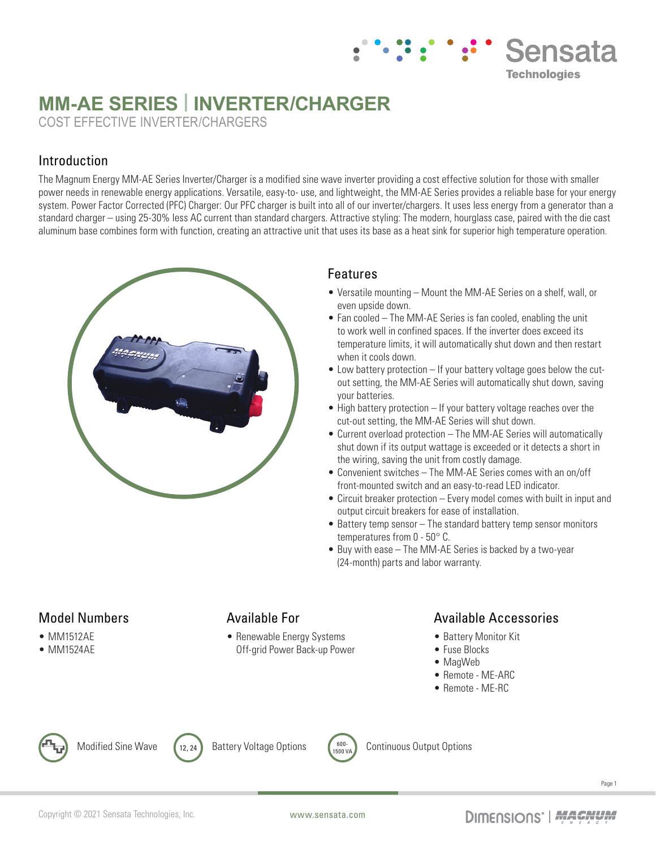# **MM-AE SERIES | INVERTER/CHARGER**

COST EFFECTIVE INVERTER/CHARGERS

# Introduction

The Magnum Energy MM-AE Series Inverter/Charger is a modified sine wave inverter providing a cost effective solution for those with smaller power needs in renewable energy applications. Versatile, easy-to- use, and lightweight, the MM-AE Series provides a reliable base for your energy system. Power Factor Corrected (PFC) Charger: Our PFC charger is built into all of our inverter/chargers. It uses less energy from a generator than a standard charger – using 25-30% less AC current than standard chargers. Attractive styling: The modern, hourglass case, paired with the die cast aluminum base combines form with function, creating an attractive unit that uses its base as a heat sink for superior high temperature operation.



#### Features

• Versatile mounting – Mount the MM-AE Series on a shelf, wall, or even upside down.

**Sensata** 

**Technologies** 

- Fan cooled The MM-AE Series is fan cooled, enabling the unit to work well in confined spaces. If the inverter does exceed its temperature limits, it will automatically shut down and then restart when it cools down.
- Low battery protection If your battery voltage goes below the cutout setting, the MM-AE Series will automatically shut down, saving your batteries.
- High battery protection If your battery voltage reaches over the cut-out setting, the MM-AE Series will shut down.
- Current overload protection The MM-AE Series will automatically shut down if its output wattage is exceeded or it detects a short in the wiring, saving the unit from costly damage.
- Convenient switches The MM-AE Series comes with an on/off front-mounted switch and an easy-to-read LED indicator.
- Circuit breaker protection Every model comes with built in input and output circuit breakers for ease of installation.
- Battery temp sensor The standard battery temp sensor monitors temperatures from 0 - 50° C.
- Buy with ease The MM-AE Series is backed by a two-year (24-month) parts and labor warranty.

#### Model Numbers

- MM1512AE
- MM1524AE

## Available For

• Renewable Energy Systems Off-grid Power Back-up Power

## Available Accessories

- Battery Monitor Kit
- Fuse Blocks
- MagWeb
- Remote ME-ARC
- Remote ME-RC



Modified Sine Wave  $\left(12, 24\right)$  Battery Voltage Options  $\left(0, \frac{600-1}{1500\sqrt{2}}\right)$ 





Continuous Output Options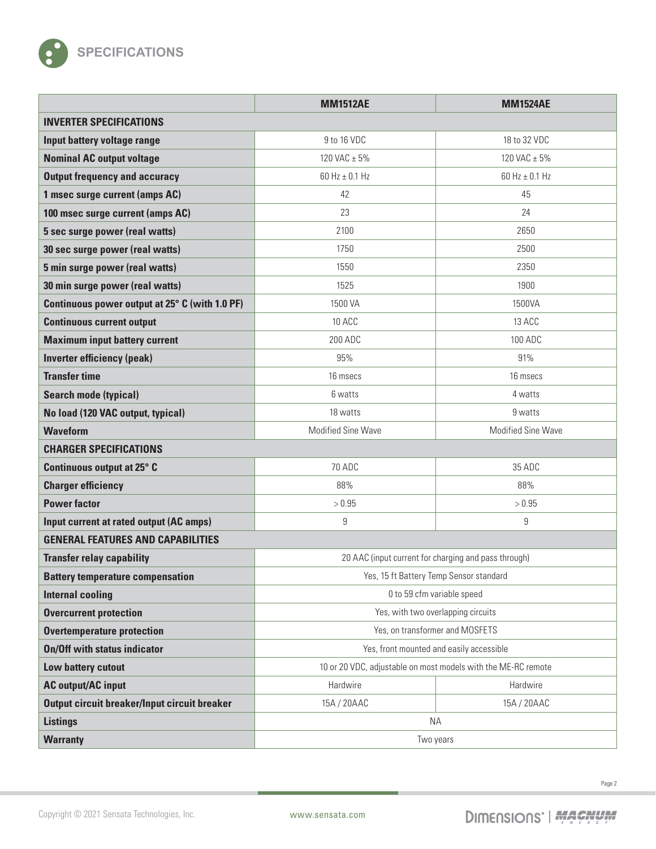

|                                                | <b>MM1512AE</b>                                               | <b>MM1524AE</b>    |  |
|------------------------------------------------|---------------------------------------------------------------|--------------------|--|
| <b>INVERTER SPECIFICATIONS</b>                 |                                                               |                    |  |
| Input battery voltage range                    | 9 to 16 VDC                                                   | 18 to 32 VDC       |  |
| <b>Nominal AC output voltage</b>               | 120 VAC ± 5%                                                  | 120 VAC ± 5%       |  |
| <b>Output frequency and accuracy</b>           | 60 Hz $\pm$ 0.1 Hz                                            | 60 Hz $\pm$ 0.1 Hz |  |
| 1 msec surge current (amps AC)                 | 42                                                            | 45                 |  |
| 100 msec surge current (amps AC)               | 23                                                            | 24                 |  |
| 5 sec surge power (real watts)                 | 2100                                                          | 2650               |  |
| 30 sec surge power (real watts)                | 1750                                                          | 2500               |  |
| 5 min surge power (real watts)                 | 1550                                                          | 2350               |  |
| 30 min surge power (real watts)                | 1525                                                          | 1900               |  |
| Continuous power output at 25° C (with 1.0 PF) | 1500 VA                                                       | 1500VA             |  |
| <b>Continuous current output</b>               | 10 ACC                                                        | 13 ACC             |  |
| <b>Maximum input battery current</b>           | 200 ADC                                                       | 100 ADC            |  |
| <b>Inverter efficiency (peak)</b>              | 95%                                                           | 91%                |  |
| <b>Transfer time</b>                           | 16 msecs                                                      | 16 msecs           |  |
| <b>Search mode (typical)</b>                   | 6 watts                                                       | 4 watts            |  |
| No load (120 VAC output, typical)              | 18 watts                                                      | 9 watts            |  |
| <b>Waveform</b>                                | <b>Modified Sine Wave</b>                                     | Modified Sine Wave |  |
| <b>CHARGER SPECIFICATIONS</b>                  |                                                               |                    |  |
| Continuous output at 25° C                     | <b>70 ADC</b>                                                 | 35 ADC             |  |
| <b>Charger efficiency</b>                      | 88%                                                           | 88%                |  |
| <b>Power factor</b>                            | > 0.95                                                        | > 0.95             |  |
| Input current at rated output (AC amps)        | 9                                                             | 9                  |  |
| <b>GENERAL FEATURES AND CAPABILITIES</b>       |                                                               |                    |  |
| <b>Transfer relay capability</b>               | 20 AAC (input current for charging and pass through)          |                    |  |
| <b>Battery temperature compensation</b>        | Yes, 15 ft Battery Temp Sensor standard                       |                    |  |
| <b>Internal cooling</b>                        | 0 to 59 cfm variable speed                                    |                    |  |
| <b>Overcurrent protection</b>                  | Yes, with two overlapping circuits                            |                    |  |
| <b>Overtemperature protection</b>              | Yes, on transformer and MOSFETS                               |                    |  |
| <b>On/Off with status indicator</b>            | Yes, front mounted and easily accessible                      |                    |  |
| Low battery cutout                             | 10 or 20 VDC, adjustable on most models with the ME-RC remote |                    |  |
| <b>AC output/AC input</b>                      | Hardwire                                                      | Hardwire           |  |
| Output circuit breaker/Input circuit breaker   | 15A / 20AAC                                                   | 15A / 20AAC        |  |
| <b>Listings</b>                                | <b>NA</b>                                                     |                    |  |
| <b>Warranty</b>                                | Two years                                                     |                    |  |

Page 2